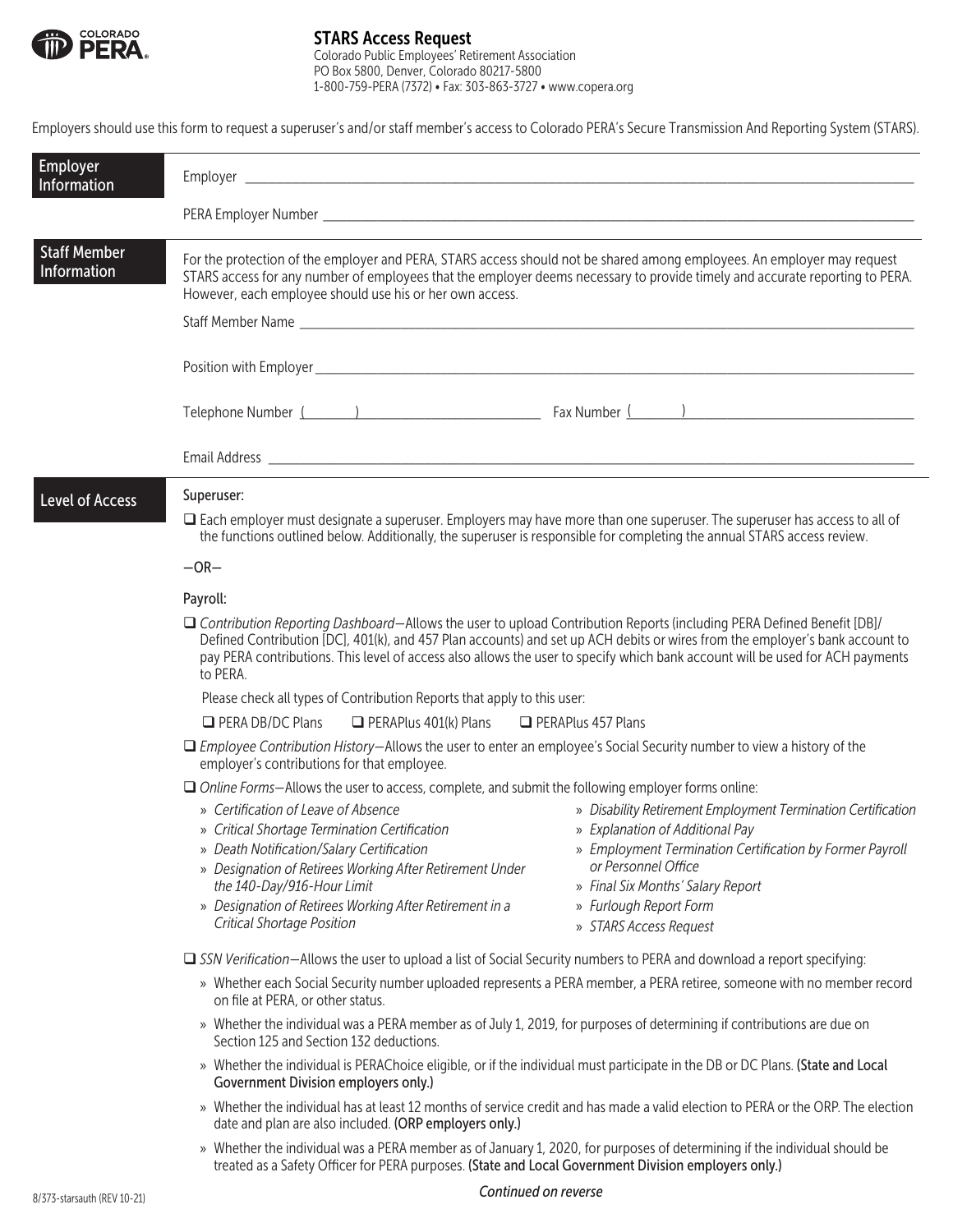

## STARS Access Request

Colorado Public Employees' Retirement Association PO Box 5800, Denver, Colorado 80217-5800 1-800-759-PERA (7372) • Fax: 303-863-3727 • www.copera.org

Employers should use this form to request a superuser's and/or staff member's access to Colorado PERA's Secure Transmission And Reporting System (STARS).

| <b>Employer</b><br>Information     |                                                                                                                                                                                                                                                                                                                                                                                                                                                                         |                                                                                                                          |  |
|------------------------------------|-------------------------------------------------------------------------------------------------------------------------------------------------------------------------------------------------------------------------------------------------------------------------------------------------------------------------------------------------------------------------------------------------------------------------------------------------------------------------|--------------------------------------------------------------------------------------------------------------------------|--|
|                                    |                                                                                                                                                                                                                                                                                                                                                                                                                                                                         |                                                                                                                          |  |
| <b>Staff Member</b><br>Information | For the protection of the employer and PERA, STARS access should not be shared among employees. An employer may request<br>STARS access for any number of employees that the employer deems necessary to provide timely and accurate reporting to PERA.<br>However, each employee should use his or her own access.                                                                                                                                                     |                                                                                                                          |  |
|                                    |                                                                                                                                                                                                                                                                                                                                                                                                                                                                         |                                                                                                                          |  |
|                                    | Telephone Number ( and ) and ( and ) and ( and ) and ( and ) and ( and ) and ( and ) and ( and ) and ( and ) and ( and ) and ( and ) and ( and ) and ( and ) and ( and ) and ( and ) and ( and ) and ( and ) and ( and ) and (                                                                                                                                                                                                                                          |                                                                                                                          |  |
|                                    |                                                                                                                                                                                                                                                                                                                                                                                                                                                                         |                                                                                                                          |  |
| Level of Access                    | Superuser:<br>□ Each employer must designate a superuser. Employers may have more than one superuser. The superuser has access to all of<br>the functions outlined below. Additionally, the superuser is responsible for completing the annual STARS access review.<br>$-OR-$<br>Payroll:                                                                                                                                                                               |                                                                                                                          |  |
|                                    | □ Contribution Reporting Dashboard–Allows the user to upload Contribution Reports (including PERA Defined Benefit [DB]/<br>Defined Contribution [DC], 401(k), and 457 Plan accounts) and set up ACH debits or wires from the employer's bank account to<br>pay PERA contributions. This level of access also allows the user to specify which bank account will be used for ACH payments<br>to PERA.                                                                    |                                                                                                                          |  |
|                                    | Please check all types of Contribution Reports that apply to this user:                                                                                                                                                                                                                                                                                                                                                                                                 |                                                                                                                          |  |
|                                    | $\Box$ PERA DB/DC Plans $\Box$ PERAPlus 401(k) Plans $\Box$ PERAPlus 457 Plans                                                                                                                                                                                                                                                                                                                                                                                          |                                                                                                                          |  |
|                                    | $\Box$ Employee Contribution History-Allows the user to enter an employee's Social Security number to view a history of the<br>employer's contributions for that employee.                                                                                                                                                                                                                                                                                              |                                                                                                                          |  |
|                                    | □ Online Forms-Allows the user to access, complete, and submit the following employer forms online:                                                                                                                                                                                                                                                                                                                                                                     |                                                                                                                          |  |
|                                    | » Certification of Leave of Absence<br>» Explanation of Additional Pay<br>» Critical Shortage Termination Certification<br>» Death Notification/Salary Certification<br>or Personnel Office<br>» Designation of Retirees Working After Retirement Under<br>the 140-Day/916-Hour Limit<br>» Final Six Months' Salary Report<br>» Designation of Retirees Working After Retirement in a<br>» Furlough Report Form<br>Critical Shortage Position<br>» STARS Access Request | » Disability Retirement Employment Termination Certification<br>» Employment Termination Certification by Former Payroll |  |
|                                    | □ SSN Verification-Allows the user to upload a list of Social Security numbers to PERA and download a report specifying:                                                                                                                                                                                                                                                                                                                                                |                                                                                                                          |  |
|                                    | » Whether each Social Security number uploaded represents a PERA member, a PERA retiree, someone with no member record<br>on file at PERA, or other status.                                                                                                                                                                                                                                                                                                             |                                                                                                                          |  |
|                                    | » Whether the individual was a PERA member as of July 1, 2019, for purposes of determining if contributions are due on<br>Section 125 and Section 132 deductions.                                                                                                                                                                                                                                                                                                       |                                                                                                                          |  |
|                                    | » Whether the individual is PERAChoice eligible, or if the individual must participate in the DB or DC Plans. (State and Local<br><b>Government Division employers only.)</b>                                                                                                                                                                                                                                                                                           |                                                                                                                          |  |
|                                    | » Whether the individual has at least 12 months of service credit and has made a valid election to PERA or the ORP. The election<br>date and plan are also included. (ORP employers only.)                                                                                                                                                                                                                                                                              |                                                                                                                          |  |
|                                    | » Whether the individual was a PERA member as of January 1, 2020, for purposes of determining if the individual should be                                                                                                                                                                                                                                                                                                                                               |                                                                                                                          |  |

## 8/373-starsauth (REV 10-21) *Continued on reverse*

treated as a Safety Officer for PERA purposes. (State and Local Government Division employers only.)